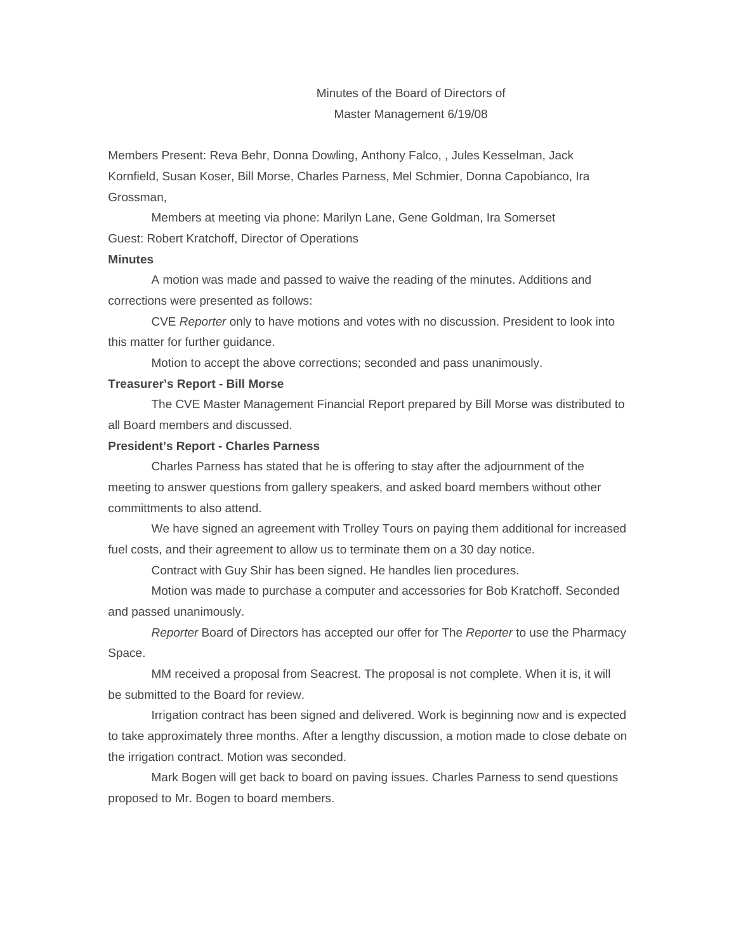# Minutes of the Board of Directors of Master Management 6/19/08

Members Present: Reva Behr, Donna Dowling, Anthony Falco, , Jules Kesselman, Jack Kornfield, Susan Koser, Bill Morse, Charles Parness, Mel Schmier, Donna Capobianco, Ira Grossman,

Members at meeting via phone: Marilyn Lane, Gene Goldman, Ira Somerset Guest: Robert Kratchoff, Director of Operations

### **Minutes**

A motion was made and passed to waive the reading of the minutes. Additions and corrections were presented as follows:

CVE *Reporter* only to have motions and votes with no discussion. President to look into this matter for further guidance.

Motion to accept the above corrections; seconded and pass unanimously.

#### **Treasurer's Report - Bill Morse**

The CVE Master Management Financial Report prepared by Bill Morse was distributed to all Board members and discussed.

### **President's Report - Charles Parness**

Charles Parness has stated that he is offering to stay after the adjournment of the meeting to answer questions from gallery speakers, and asked board members without other committments to also attend.

We have signed an agreement with Trolley Tours on paying them additional for increased fuel costs, and their agreement to allow us to terminate them on a 30 day notice.

Contract with Guy Shir has been signed. He handles lien procedures.

Motion was made to purchase a computer and accessories for Bob Kratchoff. Seconded and passed unanimously.

*Reporter* Board of Directors has accepted our offer for The *Reporter* to use the Pharmacy Space.

MM received a proposal from Seacrest. The proposal is not complete. When it is, it will be submitted to the Board for review.

Irrigation contract has been signed and delivered. Work is beginning now and is expected to take approximately three months. After a lengthy discussion, a motion made to close debate on the irrigation contract. Motion was seconded.

Mark Bogen will get back to board on paving issues. Charles Parness to send questions proposed to Mr. Bogen to board members.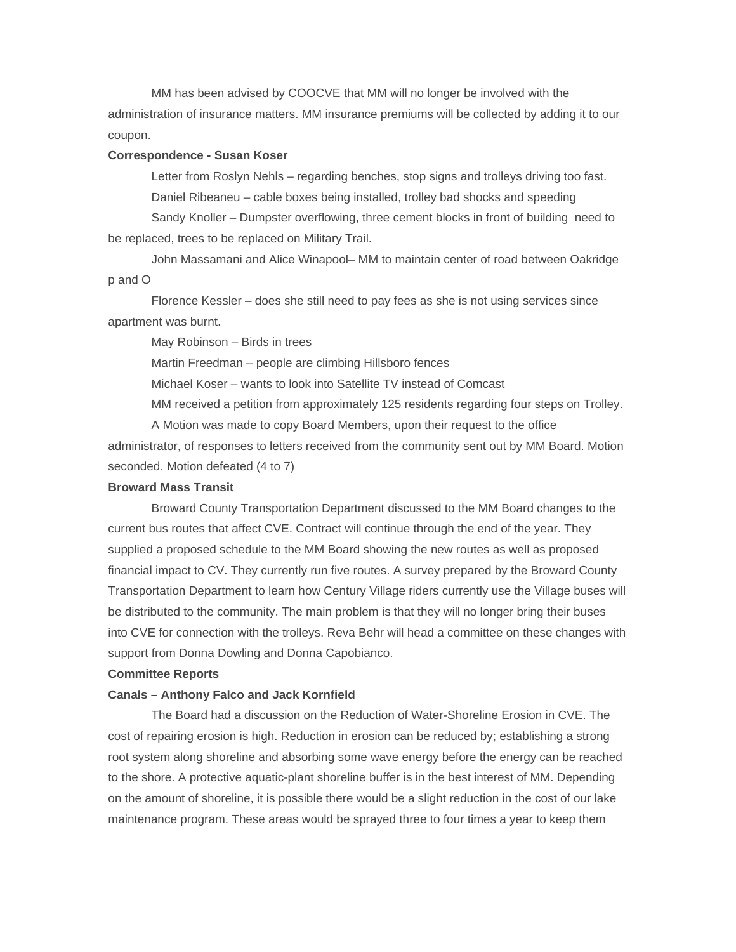MM has been advised by COOCVE that MM will no longer be involved with the administration of insurance matters. MM insurance premiums will be collected by adding it to our coupon.

#### **Correspondence - Susan Koser**

Letter from Roslyn Nehls – regarding benches, stop signs and trolleys driving too fast. Daniel Ribeaneu – cable boxes being installed, trolley bad shocks and speeding

Sandy Knoller – Dumpster overflowing, three cement blocks in front of building need to be replaced, trees to be replaced on Military Trail.

John Massamani and Alice Winapool– MM to maintain center of road between Oakridge p and O

Florence Kessler – does she still need to pay fees as she is not using services since apartment was burnt.

May Robinson – Birds in trees

Martin Freedman – people are climbing Hillsboro fences

Michael Koser – wants to look into Satellite TV instead of Comcast

MM received a petition from approximately 125 residents regarding four steps on Trolley.

A Motion was made to copy Board Members, upon their request to the office administrator, of responses to letters received from the community sent out by MM Board. Motion seconded. Motion defeated (4 to 7)

#### **Broward Mass Transit**

Broward County Transportation Department discussed to the MM Board changes to the current bus routes that affect CVE. Contract will continue through the end of the year. They supplied a proposed schedule to the MM Board showing the new routes as well as proposed financial impact to CV. They currently run five routes. A survey prepared by the Broward County Transportation Department to learn how Century Village riders currently use the Village buses will be distributed to the community. The main problem is that they will no longer bring their buses into CVE for connection with the trolleys. Reva Behr will head a committee on these changes with support from Donna Dowling and Donna Capobianco.

### **Committee Reports**

#### **Canals – Anthony Falco and Jack Kornfield**

The Board had a discussion on the Reduction of Water-Shoreline Erosion in CVE. The cost of repairing erosion is high. Reduction in erosion can be reduced by; establishing a strong root system along shoreline and absorbing some wave energy before the energy can be reached to the shore. A protective aquatic-plant shoreline buffer is in the best interest of MM. Depending on the amount of shoreline, it is possible there would be a slight reduction in the cost of our lake maintenance program. These areas would be sprayed three to four times a year to keep them